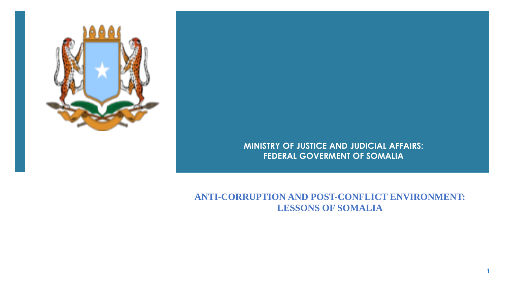

**MINISTRY OF JUSTICE AND JUDICIAL AFFAIRS: FEDERAL GOVERMENT OF SOMALIA** 

**ANTI-CORRUPTION AND POST-CONFLICT ENVIRONMENT: LESSONS OF SOMALIA**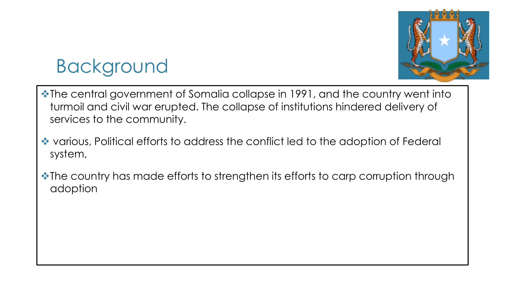

# Background

- ❖The central government of Somalia collapse in 1991, and the country went into turmoil and civil war erupted. The collapse of institutions hindered delivery of services to the community.
- ❖ various, Political efforts to address the conflict led to the adoption of Federal system,
- ❖The country has made efforts to strengthen its efforts to carp corruption through adoption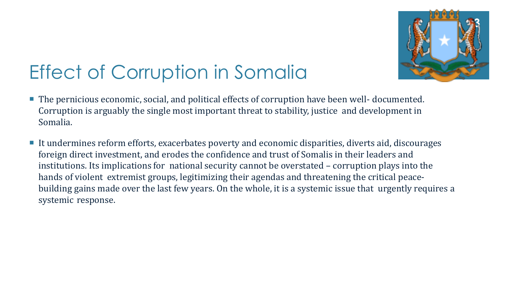

# Effect of Corruption in Somalia

- The pernicious economic, social, and political effects of corruption have been well- documented. Corruption is arguably the single most important threat to stability, justice and development in Somalia.
- It undermines reform efforts, exacerbates poverty and economic disparities, diverts aid, discourages foreign direct investment, and erodes the confidence and trust of Somalis in their leaders and institutions. Its implications for national security cannot be overstated – corruption plays into the hands of violent extremist groups, legitimizing their agendas and threatening the critical peacebuilding gains made over the last few years. On the whole, it is a systemic issue that urgently requires a systemic response.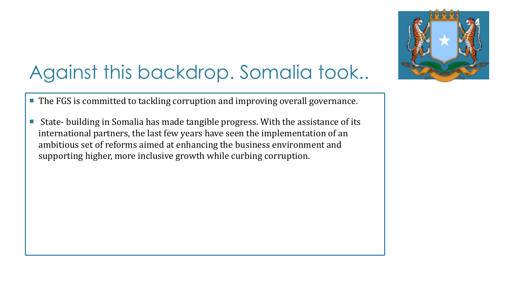

# Against this backdrop. Somalia took..

- The FGS is committed to tackling corruption and improving overall governance.
- State- building in Somalia has made tangible progress. With the assistance of its international partners, the last few years have seen the implementation of an ambitious set of reforms aimed at enhancing the business environment and supporting higher, more inclusive growth while curbing corruption.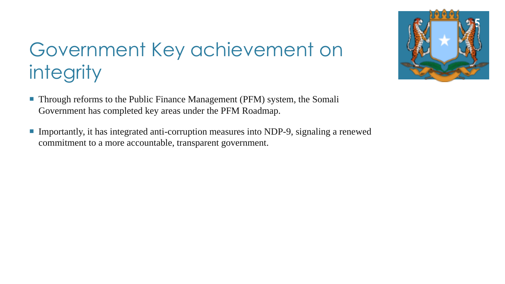

# Government Key achievement on integrity

- Through reforms to the Public Finance Management (PFM) system, the Somali Government has completed key areas under the PFM Roadmap.
- Importantly, it has integrated anti-corruption measures into NDP-9, signaling a renewed commitment to a more accountable, transparent government.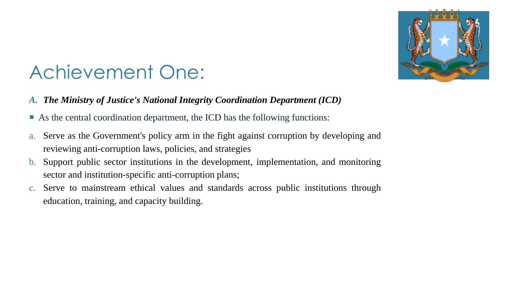

#### Achievement One:

- *A. The Ministry of Justice's National Integrity Coordination Department (ICD)*
- As the central coordination department, the ICD has the following functions:
- a. Serve as the Government's policy arm in the fight against corruption by developing and reviewing anti-corruption laws, policies, and strategies
- b. Support public sector institutions in the development, implementation, and monitoring sector and institution-specific anti-corruption plans;
- c. Serve to mainstream ethical values and standards across public institutions through education, training, and capacity building.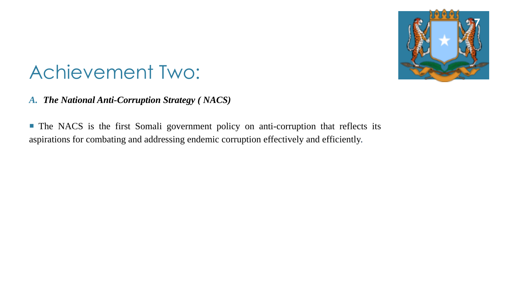

#### Achievement Two:

*A. The National Anti-Corruption Strategy ( NACS)*

 The NACS is the first Somali government policy on anti-corruption that reflects its aspirations for combating and addressing endemic corruption effectively and efficiently.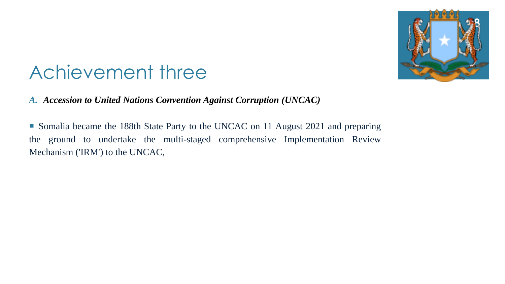

#### Achievement three

*A. Accession to United Nations Convention Against Corruption (UNCAC)*

 Somalia became the 188th State Party to the UNCAC on 11 August 2021 and preparing the ground to undertake the multi-staged comprehensive Implementation Review Mechanism ('IRM') to the UNCAC,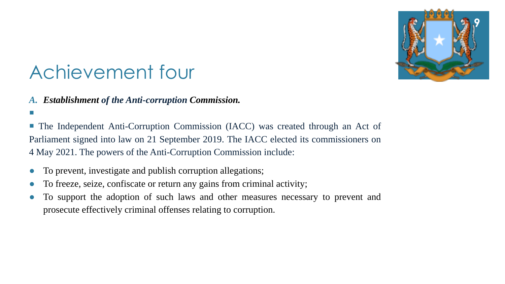

### Achievement four

*A. Establishment of the Anti-corruption Commission.*

 The Independent Anti-Corruption Commission (IACC) was created through an Act of Parliament signed into law on 21 September 2019. The IACC elected its commissioners on 4 May 2021. The powers of the Anti-Corruption Commission include:

- To prevent, investigate and publish corruption allegations;
- To freeze, seize, confiscate or return any gains from criminal activity;
- To support the adoption of such laws and other measures necessary to prevent and prosecute effectively criminal offenses relating to corruption.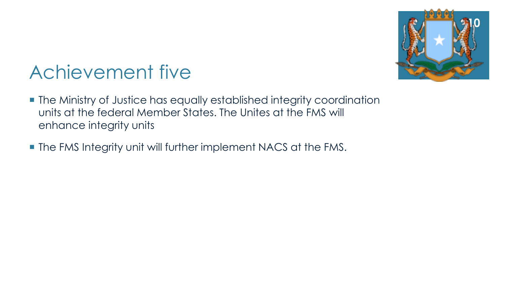

# Achievement five

- The Ministry of Justice has equally established integrity coordination units at the federal Member States. The Unites at the FMS will enhance integrity units
- **The FMS Integrity unit will further implement NACS at the FMS.**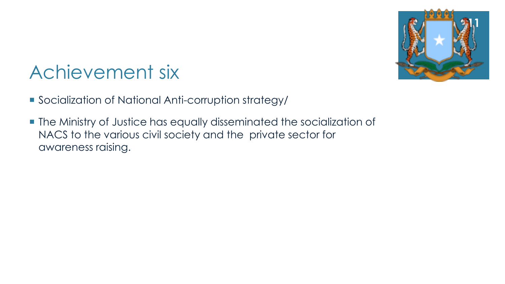

# Achievement six

- Socialization of National Anti-corruption strategy/
- **The Ministry of Justice has equally disseminated the socialization of** NACS to the various civil society and the private sector for awareness raising.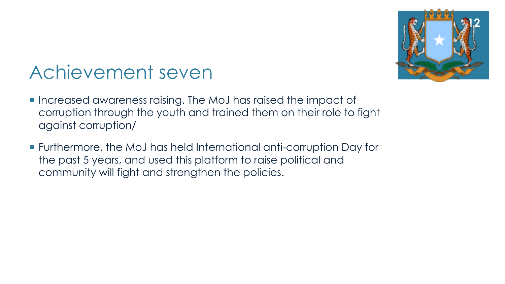

#### Achievement seven

- **Increased awareness raising. The MoJ has raised the impact of** corruption through the youth and trained them on their role to fight against corruption/
- Furthermore, the MoJ has held International anti-corruption Day for the past 5 years, and used this platform to raise political and community will fight and strengthen the policies.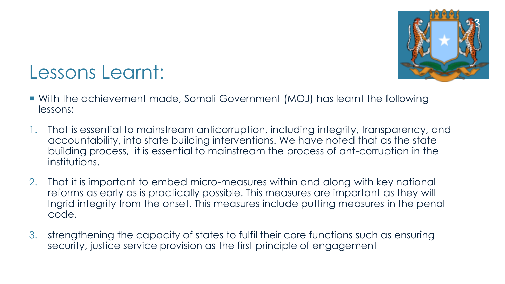

#### Lessons Learnt:

- With the achievement made, Somali Government (MOJ) has learnt the following lessons:
- 1. That is essential to mainstream anticorruption, including integrity, transparency, and accountability, into state building interventions. We have noted that as the statebuilding process, it is essential to mainstream the process of ant-corruption in the institutions.
- 2. That it is important to embed micro-measures within and along with key national reforms as early as is practically possible. This measures are important as they will Ingrid integrity from the onset. This measures include putting measures in the penal code.
- 3. strengthening the capacity of states to fulfil their core functions such as ensuring security, justice service provision as the first principle of engagement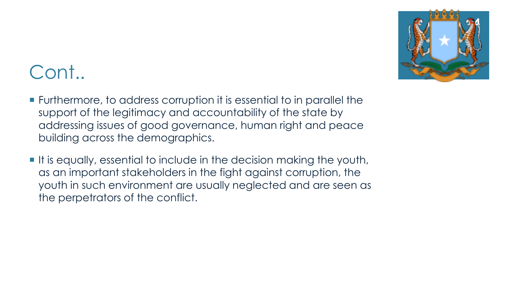

#### Cont..

- Furthermore, to address corruption it is essential to in parallel the support of the legitimacy and accountability of the state by addressing issues of good governance, human right and peace building across the demographics.
- It is equally, essential to include in the decision making the youth, as an important stakeholders in the fight against corruption, the youth in such environment are usually neglected and are seen as the perpetrators of the conflict.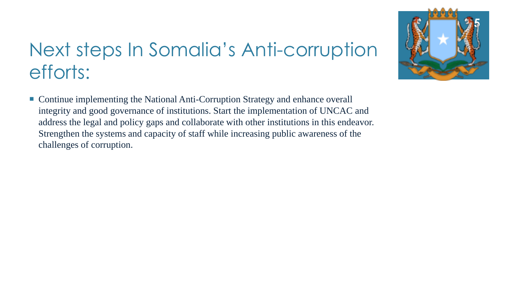# Next steps In Somalia's Anti-corruption efforts:

■ Continue implementing the National Anti-Corruption Strategy and enhance overall integrity and good governance of institutions. Start the implementation of UNCAC and address the legal and policy gaps and collaborate with other institutions in this endeavor. Strengthen the systems and capacity of staff while increasing public awareness of the challenges of corruption.